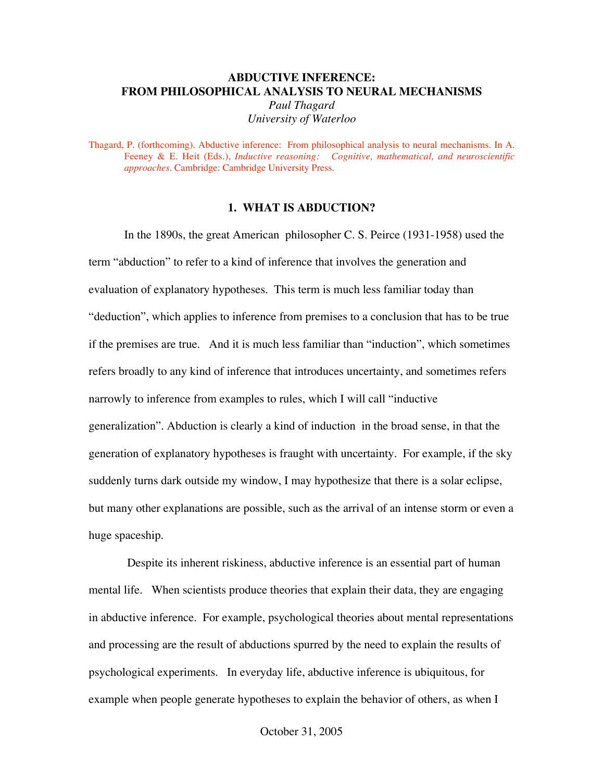# **ABDUCTIVE INFERENCE: FROM PHILOSOPHICAL ANALYSIS TO NEURAL MECHANISMS** *Paul Thagard University of Waterloo*

Thagard, P. (forthcoming). Abductive inference: From philosophical analysis to neural mechanisms. In A. Feeney & E. Heit (Eds.), *Inductive reasoning: Cognitive, mathematical, and neuroscientific approaches*. Cambridge: Cambridge University Press.

# **1. WHAT IS ABDUCTION?**

In the 1890s, the great American philosopher C. S. Peirce (1931-1958) used the term "abduction" to refer to a kind of inference that involves the generation and evaluation of explanatory hypotheses. This term is much less familiar today than "deduction", which applies to inference from premises to a conclusion that has to be true if the premises are true. And it is much less familiar than "induction", which sometimes refers broadly to any kind of inference that introduces uncertainty, and sometimes refers narrowly to inference from examples to rules, which I will call "inductive generalization". Abduction is clearly a kind of induction in the broad sense, in that the generation of explanatory hypotheses is fraught with uncertainty. For example, if the sky suddenly turns dark outside my window, I may hypothesize that there is a solar eclipse, but many other explanations are possible, such as the arrival of an intense storm or even a huge spaceship.

 Despite its inherent riskiness, abductive inference is an essential part of human mental life. When scientists produce theories that explain their data, they are engaging in abductive inference. For example, psychological theories about mental representations and processing are the result of abductions spurred by the need to explain the results of psychological experiments. In everyday life, abductive inference is ubiquitous, for example when people generate hypotheses to explain the behavior of others, as when I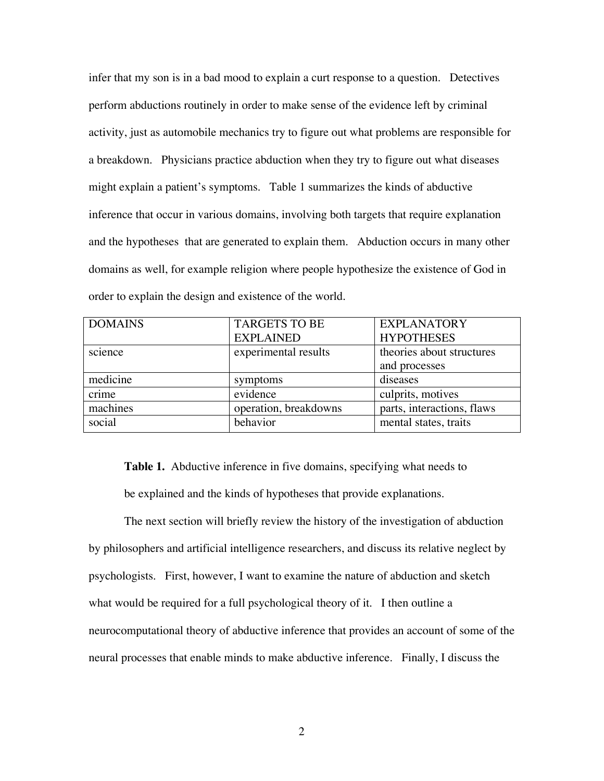infer that my son is in a bad mood to explain a curt response to a question. Detectives perform abductions routinely in order to make sense of the evidence left by criminal activity, just as automobile mechanics try to figure out what problems are responsible for a breakdown. Physicians practice abduction when they try to figure out what diseases might explain a patient's symptoms. Table 1 summarizes the kinds of abductive inference that occur in various domains, involving both targets that require explanation and the hypotheses that are generated to explain them. Abduction occurs in many other domains as well, for example religion where people hypothesize the existence of God in order to explain the design and existence of the world.

| <b>DOMAINS</b> | <b>TARGETS TO BE</b>  | <b>EXPLANATORY</b>         |
|----------------|-----------------------|----------------------------|
|                | <b>EXPLAINED</b>      | <b>HYPOTHESES</b>          |
| science        | experimental results  | theories about structures  |
|                |                       | and processes              |
| medicine       | symptoms              | diseases                   |
| crime          | evidence              | culprits, motives          |
| machines       | operation, breakdowns | parts, interactions, flaws |
| social         | behavior              | mental states, traits      |

**Table 1.** Abductive inference in five domains, specifying what needs to be explained and the kinds of hypotheses that provide explanations.

The next section will briefly review the history of the investigation of abduction by philosophers and artificial intelligence researchers, and discuss its relative neglect by psychologists. First, however, I want to examine the nature of abduction and sketch what would be required for a full psychological theory of it. I then outline a neurocomputational theory of abductive inference that provides an account of some of the neural processes that enable minds to make abductive inference. Finally, I discuss the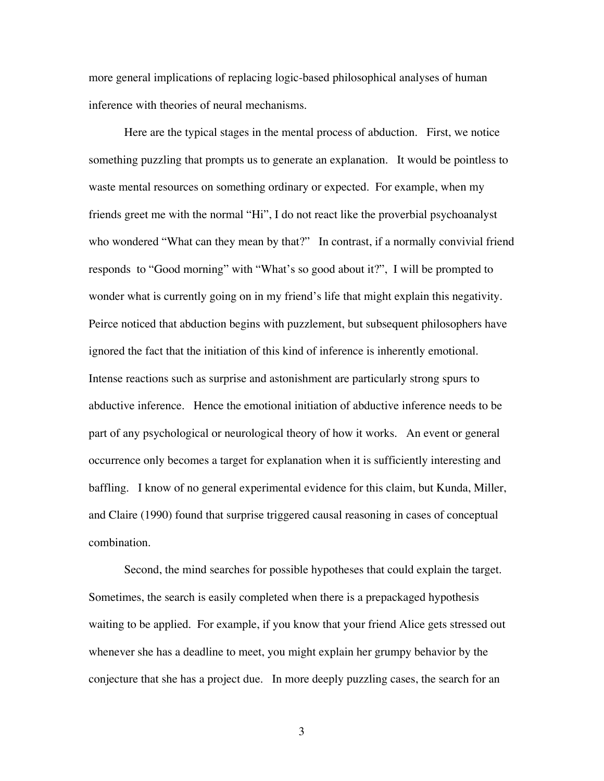more general implications of replacing logic-based philosophical analyses of human inference with theories of neural mechanisms.

Here are the typical stages in the mental process of abduction. First, we notice something puzzling that prompts us to generate an explanation. It would be pointless to waste mental resources on something ordinary or expected. For example, when my friends greet me with the normal "Hi", I do not react like the proverbial psychoanalyst who wondered "What can they mean by that?" In contrast, if a normally convivial friend responds to "Good morning" with "What's so good about it?", I will be prompted to wonder what is currently going on in my friend's life that might explain this negativity. Peirce noticed that abduction begins with puzzlement, but subsequent philosophers have ignored the fact that the initiation of this kind of inference is inherently emotional. Intense reactions such as surprise and astonishment are particularly strong spurs to abductive inference. Hence the emotional initiation of abductive inference needs to be part of any psychological or neurological theory of how it works. An event or general occurrence only becomes a target for explanation when it is sufficiently interesting and baffling. I know of no general experimental evidence for this claim, but Kunda, Miller, and Claire (1990) found that surprise triggered causal reasoning in cases of conceptual combination.

Second, the mind searches for possible hypotheses that could explain the target. Sometimes, the search is easily completed when there is a prepackaged hypothesis waiting to be applied. For example, if you know that your friend Alice gets stressed out whenever she has a deadline to meet, you might explain her grumpy behavior by the conjecture that she has a project due. In more deeply puzzling cases, the search for an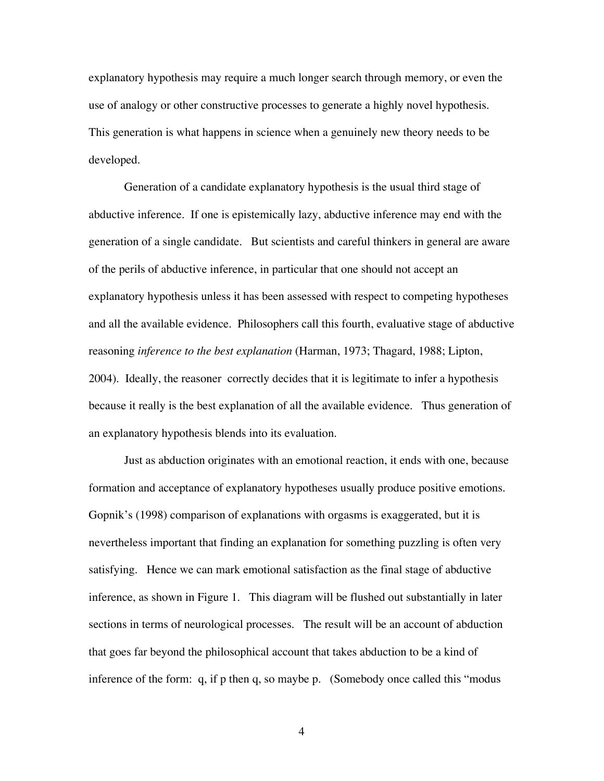explanatory hypothesis may require a much longer search through memory, or even the use of analogy or other constructive processes to generate a highly novel hypothesis. This generation is what happens in science when a genuinely new theory needs to be developed.

Generation of a candidate explanatory hypothesis is the usual third stage of abductive inference. If one is epistemically lazy, abductive inference may end with the generation of a single candidate. But scientists and careful thinkers in general are aware of the perils of abductive inference, in particular that one should not accept an explanatory hypothesis unless it has been assessed with respect to competing hypotheses and all the available evidence. Philosophers call this fourth, evaluative stage of abductive reasoning *inference to the best explanation* (Harman, 1973; Thagard, 1988; Lipton, 2004). Ideally, the reasoner correctly decides that it is legitimate to infer a hypothesis because it really is the best explanation of all the available evidence. Thus generation of an explanatory hypothesis blends into its evaluation.

Just as abduction originates with an emotional reaction, it ends with one, because formation and acceptance of explanatory hypotheses usually produce positive emotions. Gopnik's (1998) comparison of explanations with orgasms is exaggerated, but it is nevertheless important that finding an explanation for something puzzling is often very satisfying. Hence we can mark emotional satisfaction as the final stage of abductive inference, as shown in Figure 1. This diagram will be flushed out substantially in later sections in terms of neurological processes. The result will be an account of abduction that goes far beyond the philosophical account that takes abduction to be a kind of inference of the form: q, if p then q, so maybe p. (Somebody once called this "modus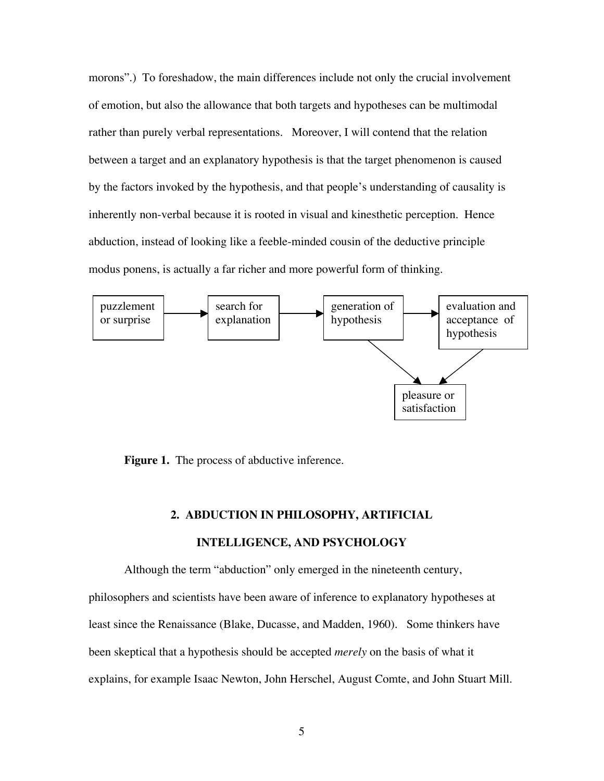morons".) To foreshadow, the main differences include not only the crucial involvement of emotion, but also the allowance that both targets and hypotheses can be multimodal rather than purely verbal representations. Moreover, I will contend that the relation between a target and an explanatory hypothesis is that the target phenomenon is caused by the factors invoked by the hypothesis, and that people's understanding of causality is inherently non-verbal because it is rooted in visual and kinesthetic perception. Hence abduction, instead of looking like a feeble-minded cousin of the deductive principle modus ponens, is actually a far richer and more powerful form of thinking.



**Figure 1.** The process of abductive inference.

# **2. ABDUCTION IN PHILOSOPHY, ARTIFICIAL**

## **INTELLIGENCE, AND PSYCHOLOGY**

Although the term "abduction" only emerged in the nineteenth century, philosophers and scientists have been aware of inference to explanatory hypotheses at least since the Renaissance (Blake, Ducasse, and Madden, 1960). Some thinkers have been skeptical that a hypothesis should be accepted *merely* on the basis of what it explains, for example Isaac Newton, John Herschel, August Comte, and John Stuart Mill.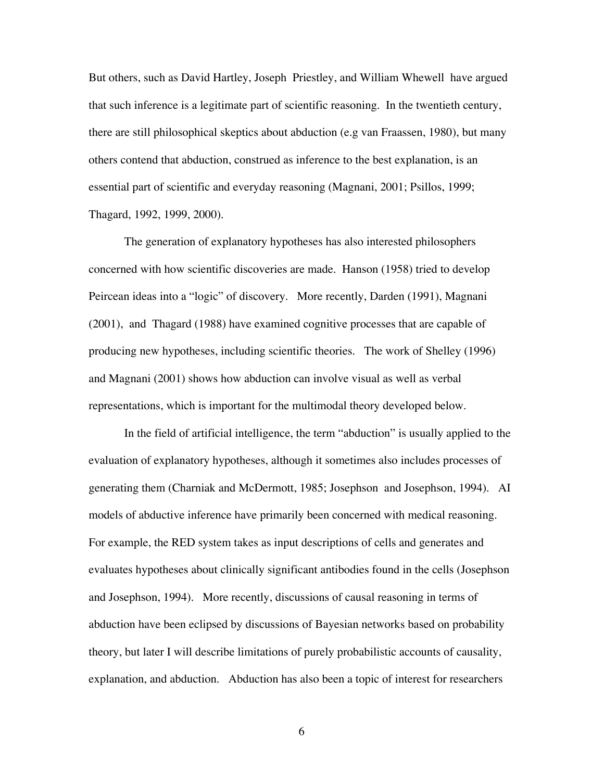But others, such as David Hartley, Joseph Priestley, and William Whewell have argued that such inference is a legitimate part of scientific reasoning. In the twentieth century, there are still philosophical skeptics about abduction (e.g van Fraassen, 1980), but many others contend that abduction, construed as inference to the best explanation, is an essential part of scientific and everyday reasoning (Magnani, 2001; Psillos, 1999; Thagard, 1992, 1999, 2000).

The generation of explanatory hypotheses has also interested philosophers concerned with how scientific discoveries are made. Hanson (1958) tried to develop Peircean ideas into a "logic" of discovery. More recently, Darden (1991), Magnani (2001), and Thagard (1988) have examined cognitive processes that are capable of producing new hypotheses, including scientific theories. The work of Shelley (1996) and Magnani (2001) shows how abduction can involve visual as well as verbal representations, which is important for the multimodal theory developed below.

In the field of artificial intelligence, the term "abduction" is usually applied to the evaluation of explanatory hypotheses, although it sometimes also includes processes of generating them (Charniak and McDermott, 1985; Josephson and Josephson, 1994). AI models of abductive inference have primarily been concerned with medical reasoning. For example, the RED system takes as input descriptions of cells and generates and evaluates hypotheses about clinically significant antibodies found in the cells (Josephson and Josephson, 1994). More recently, discussions of causal reasoning in terms of abduction have been eclipsed by discussions of Bayesian networks based on probability theory, but later I will describe limitations of purely probabilistic accounts of causality, explanation, and abduction. Abduction has also been a topic of interest for researchers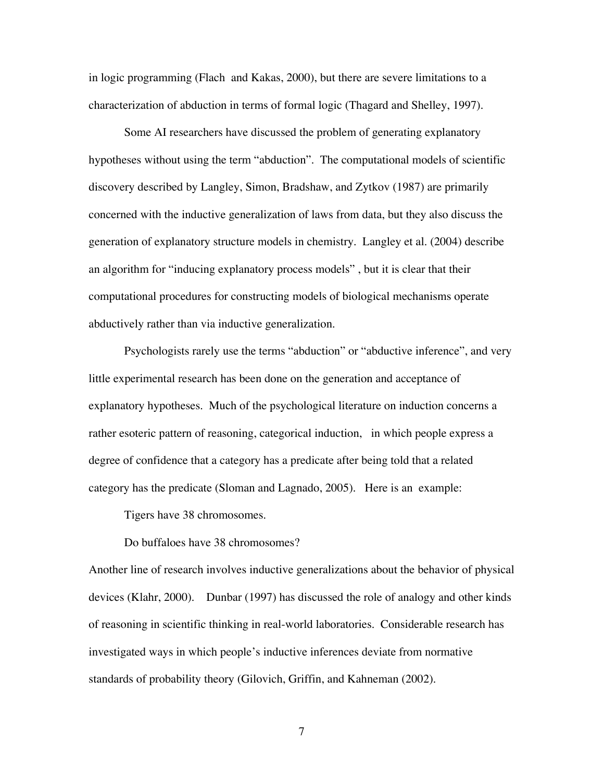in logic programming (Flach and Kakas, 2000), but there are severe limitations to a characterization of abduction in terms of formal logic (Thagard and Shelley, 1997).

Some AI researchers have discussed the problem of generating explanatory hypotheses without using the term "abduction". The computational models of scientific discovery described by Langley, Simon, Bradshaw, and Zytkov (1987) are primarily concerned with the inductive generalization of laws from data, but they also discuss the generation of explanatory structure models in chemistry. Langley et al. (2004) describe an algorithm for "inducing explanatory process models" , but it is clear that their computational procedures for constructing models of biological mechanisms operate abductively rather than via inductive generalization.

Psychologists rarely use the terms "abduction" or "abductive inference", and very little experimental research has been done on the generation and acceptance of explanatory hypotheses. Much of the psychological literature on induction concerns a rather esoteric pattern of reasoning, categorical induction, in which people express a degree of confidence that a category has a predicate after being told that a related category has the predicate (Sloman and Lagnado, 2005). Here is an example:

Tigers have 38 chromosomes.

Do buffaloes have 38 chromosomes?

Another line of research involves inductive generalizations about the behavior of physical devices (Klahr, 2000). Dunbar (1997) has discussed the role of analogy and other kinds of reasoning in scientific thinking in real-world laboratories. Considerable research has investigated ways in which people's inductive inferences deviate from normative standards of probability theory (Gilovich, Griffin, and Kahneman (2002).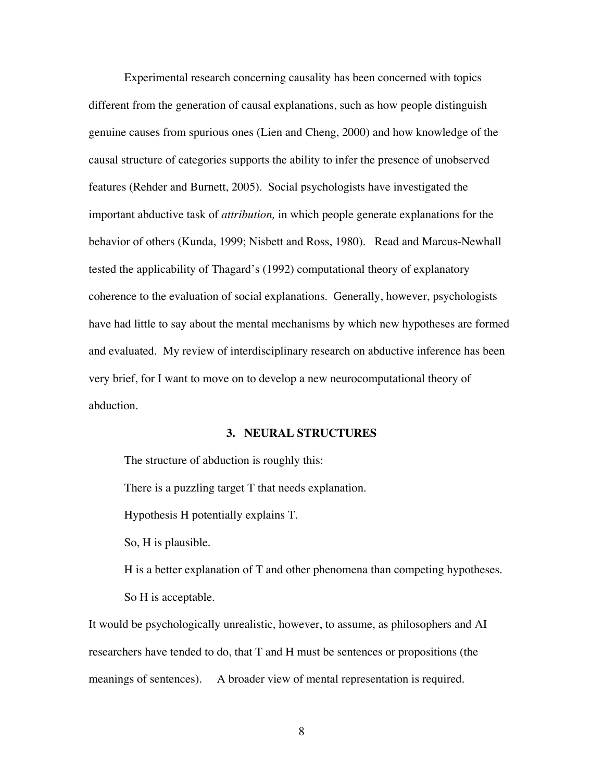Experimental research concerning causality has been concerned with topics different from the generation of causal explanations, such as how people distinguish genuine causes from spurious ones (Lien and Cheng, 2000) and how knowledge of the causal structure of categories supports the ability to infer the presence of unobserved features (Rehder and Burnett, 2005). Social psychologists have investigated the important abductive task of *attribution,* in which people generate explanations for the behavior of others (Kunda, 1999; Nisbett and Ross, 1980). Read and Marcus-Newhall tested the applicability of Thagard's (1992) computational theory of explanatory coherence to the evaluation of social explanations. Generally, however, psychologists have had little to say about the mental mechanisms by which new hypotheses are formed and evaluated. My review of interdisciplinary research on abductive inference has been very brief, for I want to move on to develop a new neurocomputational theory of abduction.

## **3. NEURAL STRUCTURES**

The structure of abduction is roughly this:

There is a puzzling target T that needs explanation.

Hypothesis H potentially explains T.

So, H is plausible.

H is a better explanation of T and other phenomena than competing hypotheses. So H is acceptable.

It would be psychologically unrealistic, however, to assume, as philosophers and AI researchers have tended to do, that T and H must be sentences or propositions (the meanings of sentences). A broader view of mental representation is required.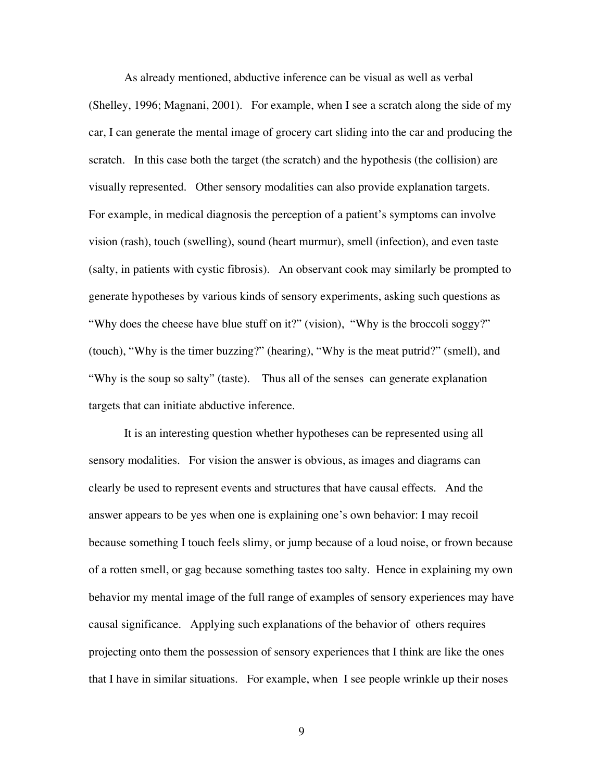As already mentioned, abductive inference can be visual as well as verbal (Shelley, 1996; Magnani, 2001). For example, when I see a scratch along the side of my car, I can generate the mental image of grocery cart sliding into the car and producing the scratch. In this case both the target (the scratch) and the hypothesis (the collision) are visually represented. Other sensory modalities can also provide explanation targets. For example, in medical diagnosis the perception of a patient's symptoms can involve vision (rash), touch (swelling), sound (heart murmur), smell (infection), and even taste (salty, in patients with cystic fibrosis). An observant cook may similarly be prompted to generate hypotheses by various kinds of sensory experiments, asking such questions as "Why does the cheese have blue stuff on it?" (vision), "Why is the broccoli soggy?" (touch), "Why is the timer buzzing?" (hearing), "Why is the meat putrid?" (smell), and "Why is the soup so salty" (taste). Thus all of the senses can generate explanation targets that can initiate abductive inference.

It is an interesting question whether hypotheses can be represented using all sensory modalities. For vision the answer is obvious, as images and diagrams can clearly be used to represent events and structures that have causal effects. And the answer appears to be yes when one is explaining one's own behavior: I may recoil because something I touch feels slimy, or jump because of a loud noise, or frown because of a rotten smell, or gag because something tastes too salty. Hence in explaining my own behavior my mental image of the full range of examples of sensory experiences may have causal significance. Applying such explanations of the behavior of others requires projecting onto them the possession of sensory experiences that I think are like the ones that I have in similar situations. For example, when I see people wrinkle up their noses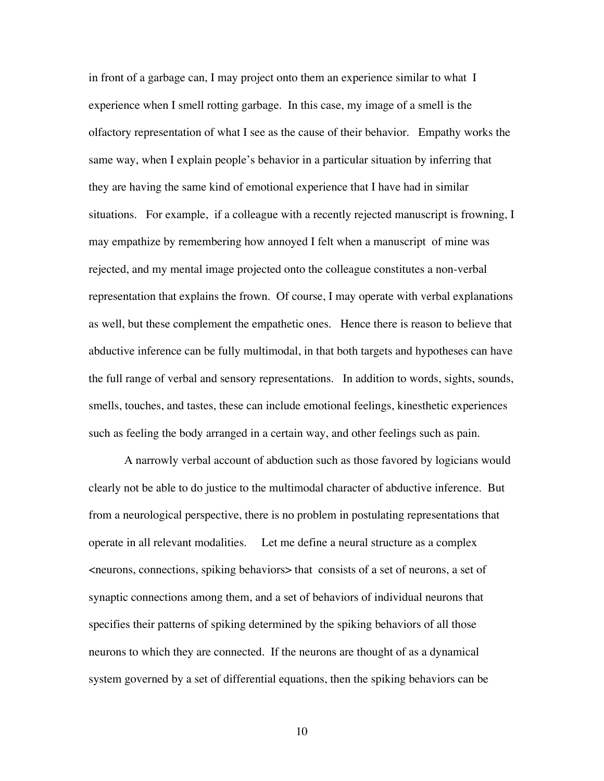in front of a garbage can, I may project onto them an experience similar to what I experience when I smell rotting garbage. In this case, my image of a smell is the olfactory representation of what I see as the cause of their behavior. Empathy works the same way, when I explain people's behavior in a particular situation by inferring that they are having the same kind of emotional experience that I have had in similar situations. For example, if a colleague with a recently rejected manuscript is frowning, I may empathize by remembering how annoyed I felt when a manuscript of mine was rejected, and my mental image projected onto the colleague constitutes a non-verbal representation that explains the frown. Of course, I may operate with verbal explanations as well, but these complement the empathetic ones. Hence there is reason to believe that abductive inference can be fully multimodal, in that both targets and hypotheses can have the full range of verbal and sensory representations. In addition to words, sights, sounds, smells, touches, and tastes, these can include emotional feelings, kinesthetic experiences such as feeling the body arranged in a certain way, and other feelings such as pain.

A narrowly verbal account of abduction such as those favored by logicians would clearly not be able to do justice to the multimodal character of abductive inference. But from a neurological perspective, there is no problem in postulating representations that operate in all relevant modalities. Let me define a neural structure as a complex <neurons, connections, spiking behaviors> that consists of a set of neurons, a set of synaptic connections among them, and a set of behaviors of individual neurons that specifies their patterns of spiking determined by the spiking behaviors of all those neurons to which they are connected. If the neurons are thought of as a dynamical system governed by a set of differential equations, then the spiking behaviors can be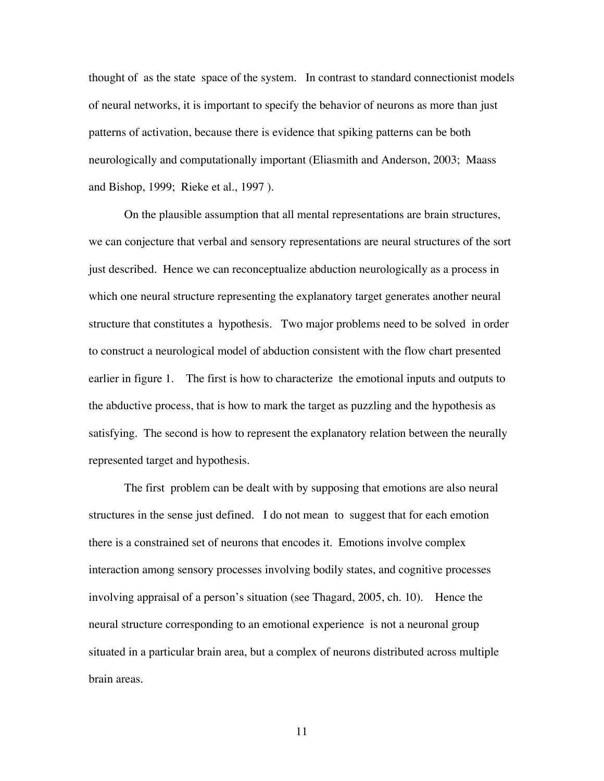thought of as the state space of the system. In contrast to standard connectionist models of neural networks, it is important to specify the behavior of neurons as more than just patterns of activation, because there is evidence that spiking patterns can be both neurologically and computationally important (Eliasmith and Anderson, 2003; Maass and Bishop, 1999; Rieke et al., 1997 ).

On the plausible assumption that all mental representations are brain structures, we can conjecture that verbal and sensory representations are neural structures of the sort just described. Hence we can reconceptualize abduction neurologically as a process in which one neural structure representing the explanatory target generates another neural structure that constitutes a hypothesis. Two major problems need to be solved in order to construct a neurological model of abduction consistent with the flow chart presented earlier in figure 1. The first is how to characterize the emotional inputs and outputs to the abductive process, that is how to mark the target as puzzling and the hypothesis as satisfying. The second is how to represent the explanatory relation between the neurally represented target and hypothesis.

The first problem can be dealt with by supposing that emotions are also neural structures in the sense just defined. I do not mean to suggest that for each emotion there is a constrained set of neurons that encodes it. Emotions involve complex interaction among sensory processes involving bodily states, and cognitive processes involving appraisal of a person's situation (see Thagard, 2005, ch. 10). Hence the neural structure corresponding to an emotional experience is not a neuronal group situated in a particular brain area, but a complex of neurons distributed across multiple brain areas.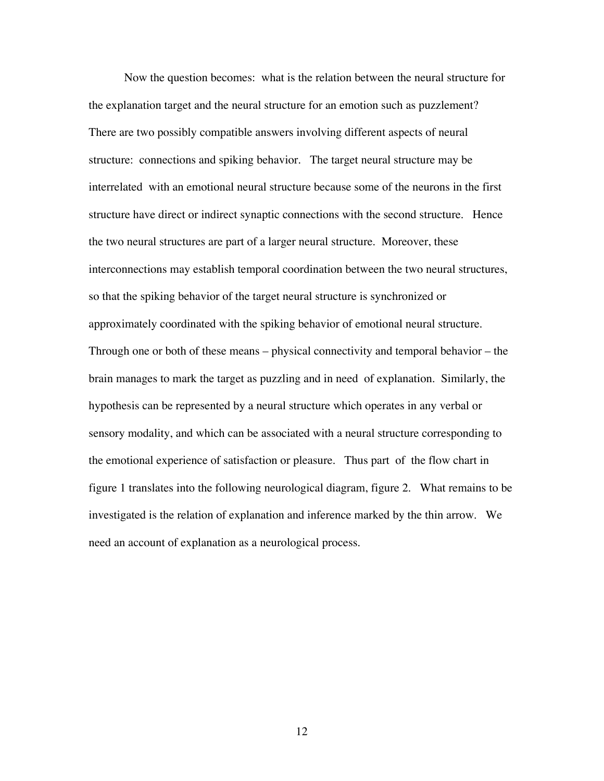Now the question becomes: what is the relation between the neural structure for the explanation target and the neural structure for an emotion such as puzzlement? There are two possibly compatible answers involving different aspects of neural structure: connections and spiking behavior. The target neural structure may be interrelated with an emotional neural structure because some of the neurons in the first structure have direct or indirect synaptic connections with the second structure. Hence the two neural structures are part of a larger neural structure. Moreover, these interconnections may establish temporal coordination between the two neural structures, so that the spiking behavior of the target neural structure is synchronized or approximately coordinated with the spiking behavior of emotional neural structure. Through one or both of these means – physical connectivity and temporal behavior – the brain manages to mark the target as puzzling and in need of explanation. Similarly, the hypothesis can be represented by a neural structure which operates in any verbal or sensory modality, and which can be associated with a neural structure corresponding to the emotional experience of satisfaction or pleasure. Thus part of the flow chart in figure 1 translates into the following neurological diagram, figure 2. What remains to be investigated is the relation of explanation and inference marked by the thin arrow. We need an account of explanation as a neurological process.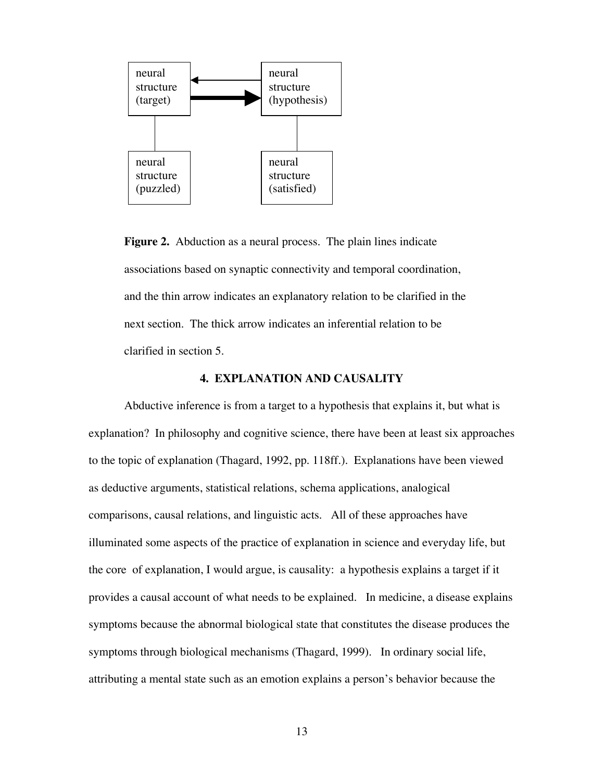

**Figure 2.** Abduction as a neural process. The plain lines indicate associations based on synaptic connectivity and temporal coordination, and the thin arrow indicates an explanatory relation to be clarified in the next section. The thick arrow indicates an inferential relation to be clarified in section 5.

# **4. EXPLANATION AND CAUSALITY**

Abductive inference is from a target to a hypothesis that explains it, but what is explanation? In philosophy and cognitive science, there have been at least six approaches to the topic of explanation (Thagard, 1992, pp. 118ff.). Explanations have been viewed as deductive arguments, statistical relations, schema applications, analogical comparisons, causal relations, and linguistic acts. All of these approaches have illuminated some aspects of the practice of explanation in science and everyday life, but the core of explanation, I would argue, is causality: a hypothesis explains a target if it provides a causal account of what needs to be explained. In medicine, a disease explains symptoms because the abnormal biological state that constitutes the disease produces the symptoms through biological mechanisms (Thagard, 1999). In ordinary social life, attributing a mental state such as an emotion explains a person's behavior because the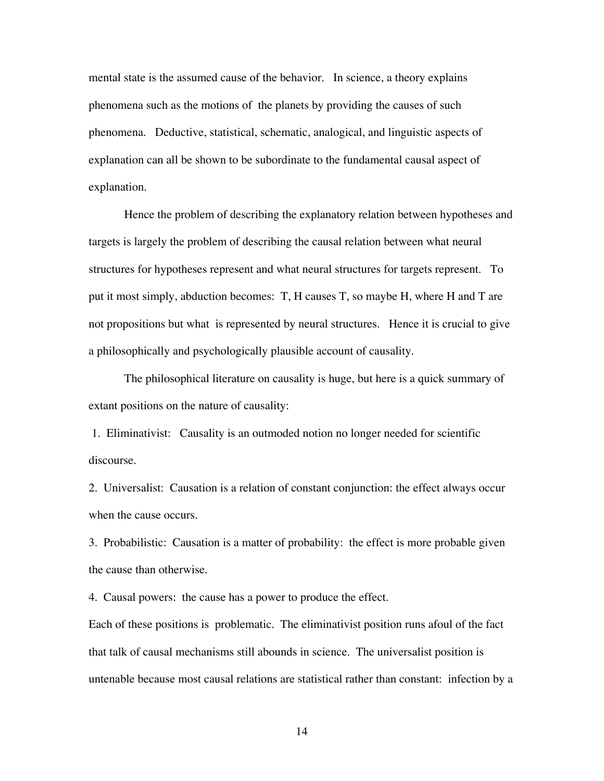mental state is the assumed cause of the behavior. In science, a theory explains phenomena such as the motions of the planets by providing the causes of such phenomena. Deductive, statistical, schematic, analogical, and linguistic aspects of explanation can all be shown to be subordinate to the fundamental causal aspect of explanation.

Hence the problem of describing the explanatory relation between hypotheses and targets is largely the problem of describing the causal relation between what neural structures for hypotheses represent and what neural structures for targets represent. To put it most simply, abduction becomes: T, H causes T, so maybe H, where H and T are not propositions but what is represented by neural structures. Hence it is crucial to give a philosophically and psychologically plausible account of causality.

The philosophical literature on causality is huge, but here is a quick summary of extant positions on the nature of causality:

 1. Eliminativist: Causality is an outmoded notion no longer needed for scientific discourse.

2. Universalist: Causation is a relation of constant conjunction: the effect always occur when the cause occurs.

3. Probabilistic: Causation is a matter of probability: the effect is more probable given the cause than otherwise.

4. Causal powers: the cause has a power to produce the effect.

Each of these positions is problematic. The eliminativist position runs afoul of the fact that talk of causal mechanisms still abounds in science. The universalist position is untenable because most causal relations are statistical rather than constant: infection by a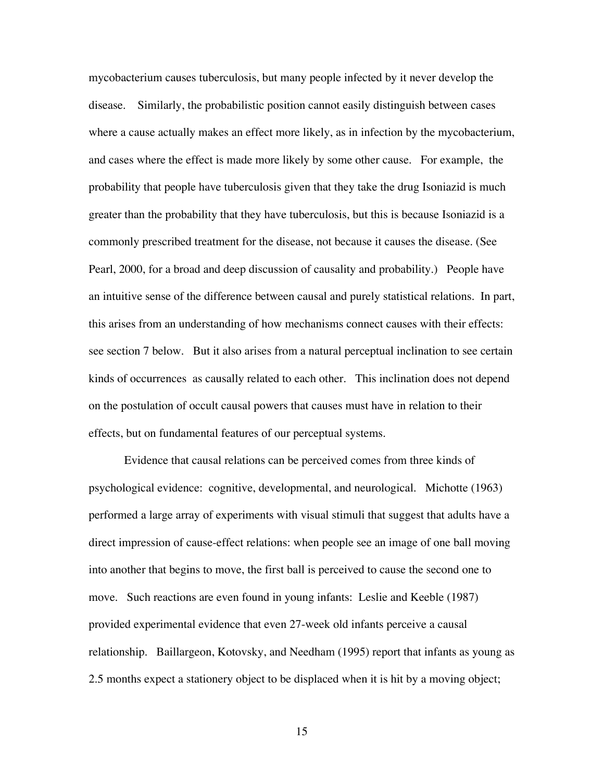mycobacterium causes tuberculosis, but many people infected by it never develop the disease. Similarly, the probabilistic position cannot easily distinguish between cases where a cause actually makes an effect more likely, as in infection by the mycobacterium, and cases where the effect is made more likely by some other cause. For example, the probability that people have tuberculosis given that they take the drug Isoniazid is much greater than the probability that they have tuberculosis, but this is because Isoniazid is a commonly prescribed treatment for the disease, not because it causes the disease. (See Pearl, 2000, for a broad and deep discussion of causality and probability.) People have an intuitive sense of the difference between causal and purely statistical relations. In part, this arises from an understanding of how mechanisms connect causes with their effects: see section 7 below. But it also arises from a natural perceptual inclination to see certain kinds of occurrences as causally related to each other. This inclination does not depend on the postulation of occult causal powers that causes must have in relation to their effects, but on fundamental features of our perceptual systems.

Evidence that causal relations can be perceived comes from three kinds of psychological evidence: cognitive, developmental, and neurological. Michotte (1963) performed a large array of experiments with visual stimuli that suggest that adults have a direct impression of cause-effect relations: when people see an image of one ball moving into another that begins to move, the first ball is perceived to cause the second one to move. Such reactions are even found in young infants: Leslie and Keeble (1987) provided experimental evidence that even 27-week old infants perceive a causal relationship. Baillargeon, Kotovsky, and Needham (1995) report that infants as young as 2.5 months expect a stationery object to be displaced when it is hit by a moving object;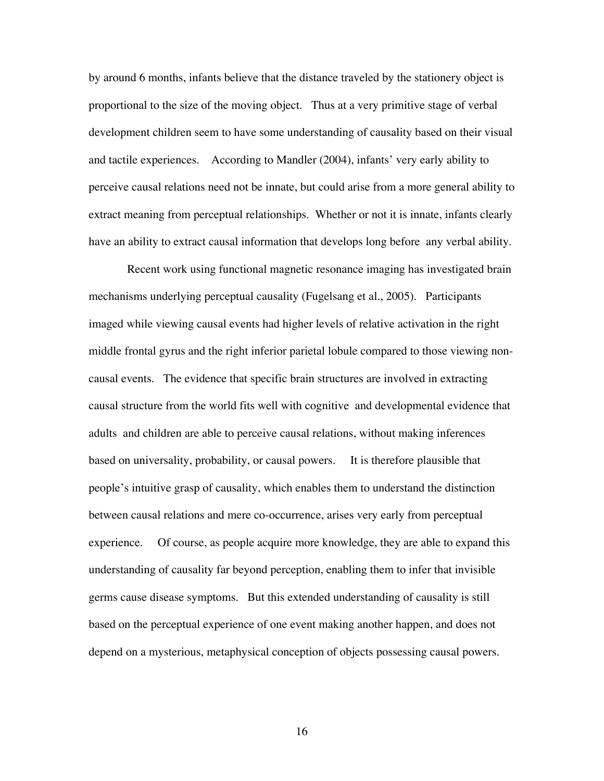by around 6 months, infants believe that the distance traveled by the stationery object is proportional to the size of the moving object. Thus at a very primitive stage of verbal development children seem to have some understanding of causality based on their visual and tactile experiences. According to Mandler (2004), infants' very early ability to perceive causal relations need not be innate, but could arise from a more general ability to extract meaning from perceptual relationships. Whether or not it is innate, infants clearly have an ability to extract causal information that develops long before any verbal ability.

 Recent work using functional magnetic resonance imaging has investigated brain mechanisms underlying perceptual causality (Fugelsang et al., 2005). Participants imaged while viewing causal events had higher levels of relative activation in the right middle frontal gyrus and the right inferior parietal lobule compared to those viewing noncausal events. The evidence that specific brain structures are involved in extracting causal structure from the world fits well with cognitive and developmental evidence that adults and children are able to perceive causal relations, without making inferences based on universality, probability, or causal powers. It is therefore plausible that people's intuitive grasp of causality, which enables them to understand the distinction between causal relations and mere co-occurrence, arises very early from perceptual experience. Of course, as people acquire more knowledge, they are able to expand this understanding of causality far beyond perception, enabling them to infer that invisible germs cause disease symptoms. But this extended understanding of causality is still based on the perceptual experience of one event making another happen, and does not depend on a mysterious, metaphysical conception of objects possessing causal powers.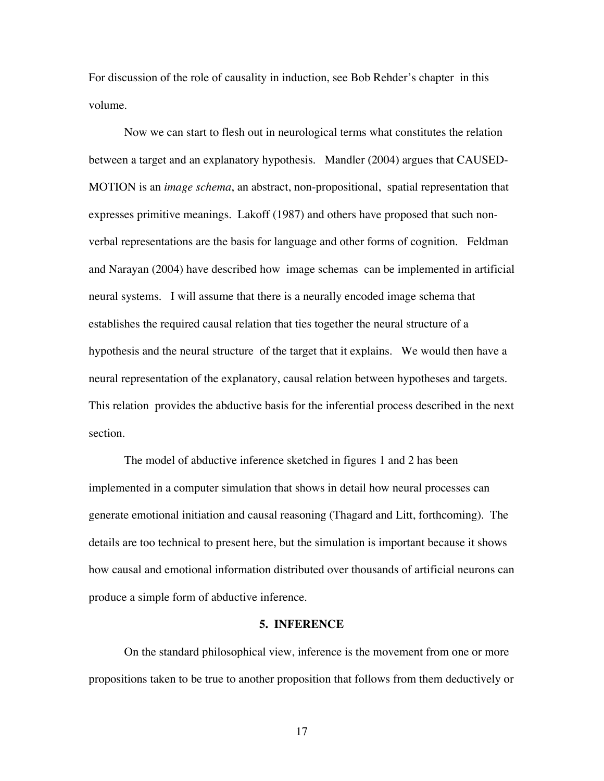For discussion of the role of causality in induction, see Bob Rehder's chapter in this volume.

Now we can start to flesh out in neurological terms what constitutes the relation between a target and an explanatory hypothesis. Mandler (2004) argues that CAUSED-MOTION is an *image schema*, an abstract, non-propositional, spatial representation that expresses primitive meanings. Lakoff (1987) and others have proposed that such nonverbal representations are the basis for language and other forms of cognition. Feldman and Narayan (2004) have described how image schemas can be implemented in artificial neural systems. I will assume that there is a neurally encoded image schema that establishes the required causal relation that ties together the neural structure of a hypothesis and the neural structure of the target that it explains. We would then have a neural representation of the explanatory, causal relation between hypotheses and targets. This relation provides the abductive basis for the inferential process described in the next section.

The model of abductive inference sketched in figures 1 and 2 has been implemented in a computer simulation that shows in detail how neural processes can generate emotional initiation and causal reasoning (Thagard and Litt, forthcoming). The details are too technical to present here, but the simulation is important because it shows how causal and emotional information distributed over thousands of artificial neurons can produce a simple form of abductive inference.

# **5. INFERENCE**

On the standard philosophical view, inference is the movement from one or more propositions taken to be true to another proposition that follows from them deductively or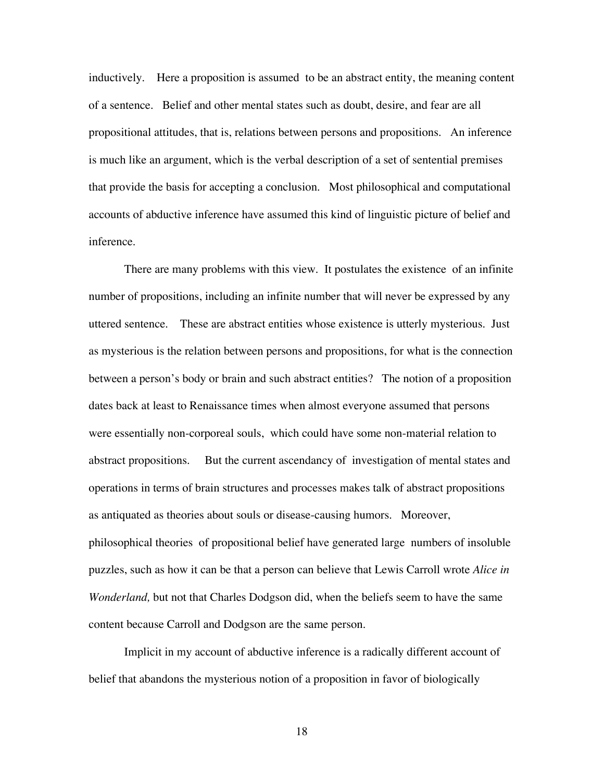inductively. Here a proposition is assumed to be an abstract entity, the meaning content of a sentence. Belief and other mental states such as doubt, desire, and fear are all propositional attitudes, that is, relations between persons and propositions. An inference is much like an argument, which is the verbal description of a set of sentential premises that provide the basis for accepting a conclusion. Most philosophical and computational accounts of abductive inference have assumed this kind of linguistic picture of belief and inference.

There are many problems with this view. It postulates the existence of an infinite number of propositions, including an infinite number that will never be expressed by any uttered sentence. These are abstract entities whose existence is utterly mysterious. Just as mysterious is the relation between persons and propositions, for what is the connection between a person's body or brain and such abstract entities? The notion of a proposition dates back at least to Renaissance times when almost everyone assumed that persons were essentially non-corporeal souls, which could have some non-material relation to abstract propositions. But the current ascendancy of investigation of mental states and operations in terms of brain structures and processes makes talk of abstract propositions as antiquated as theories about souls or disease-causing humors. Moreover, philosophical theories of propositional belief have generated large numbers of insoluble puzzles, such as how it can be that a person can believe that Lewis Carroll wrote *Alice in Wonderland,* but not that Charles Dodgson did, when the beliefs seem to have the same content because Carroll and Dodgson are the same person.

Implicit in my account of abductive inference is a radically different account of belief that abandons the mysterious notion of a proposition in favor of biologically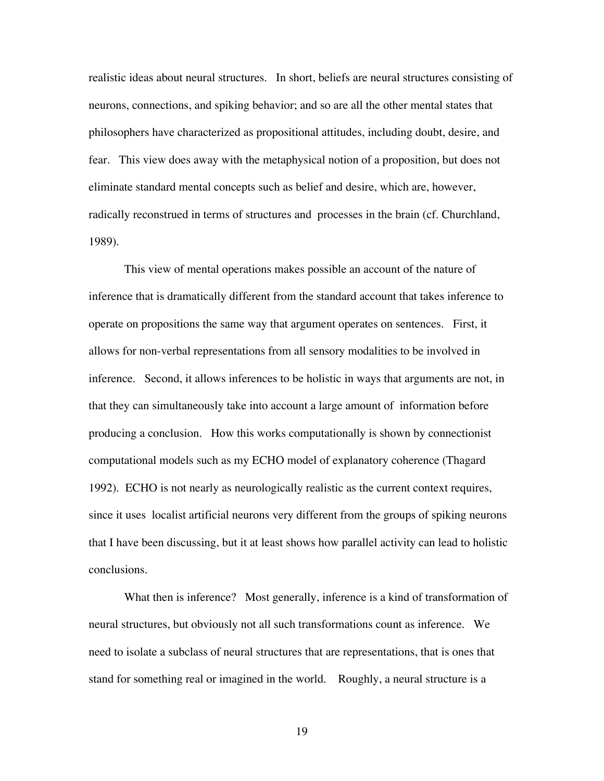realistic ideas about neural structures. In short, beliefs are neural structures consisting of neurons, connections, and spiking behavior; and so are all the other mental states that philosophers have characterized as propositional attitudes, including doubt, desire, and fear. This view does away with the metaphysical notion of a proposition, but does not eliminate standard mental concepts such as belief and desire, which are, however, radically reconstrued in terms of structures and processes in the brain (cf. Churchland, 1989).

This view of mental operations makes possible an account of the nature of inference that is dramatically different from the standard account that takes inference to operate on propositions the same way that argument operates on sentences. First, it allows for non-verbal representations from all sensory modalities to be involved in inference. Second, it allows inferences to be holistic in ways that arguments are not, in that they can simultaneously take into account a large amount of information before producing a conclusion. How this works computationally is shown by connectionist computational models such as my ECHO model of explanatory coherence (Thagard 1992). ECHO is not nearly as neurologically realistic as the current context requires, since it uses localist artificial neurons very different from the groups of spiking neurons that I have been discussing, but it at least shows how parallel activity can lead to holistic conclusions.

What then is inference? Most generally, inference is a kind of transformation of neural structures, but obviously not all such transformations count as inference. We need to isolate a subclass of neural structures that are representations, that is ones that stand for something real or imagined in the world. Roughly, a neural structure is a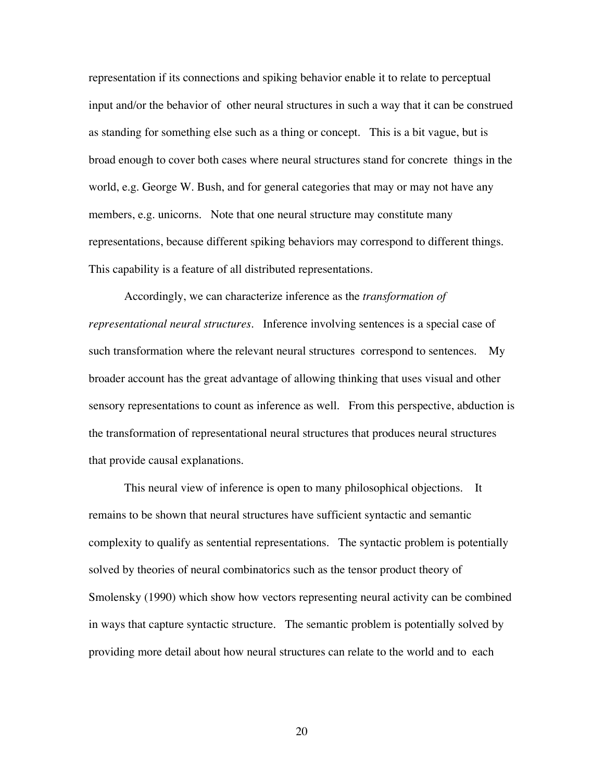representation if its connections and spiking behavior enable it to relate to perceptual input and/or the behavior of other neural structures in such a way that it can be construed as standing for something else such as a thing or concept. This is a bit vague, but is broad enough to cover both cases where neural structures stand for concrete things in the world, e.g. George W. Bush, and for general categories that may or may not have any members, e.g. unicorns. Note that one neural structure may constitute many representations, because different spiking behaviors may correspond to different things. This capability is a feature of all distributed representations.

Accordingly, we can characterize inference as the *transformation of representational neural structures*. Inference involving sentences is a special case of such transformation where the relevant neural structures correspond to sentences. My broader account has the great advantage of allowing thinking that uses visual and other sensory representations to count as inference as well. From this perspective, abduction is the transformation of representational neural structures that produces neural structures that provide causal explanations.

This neural view of inference is open to many philosophical objections. It remains to be shown that neural structures have sufficient syntactic and semantic complexity to qualify as sentential representations. The syntactic problem is potentially solved by theories of neural combinatorics such as the tensor product theory of Smolensky (1990) which show how vectors representing neural activity can be combined in ways that capture syntactic structure. The semantic problem is potentially solved by providing more detail about how neural structures can relate to the world and to each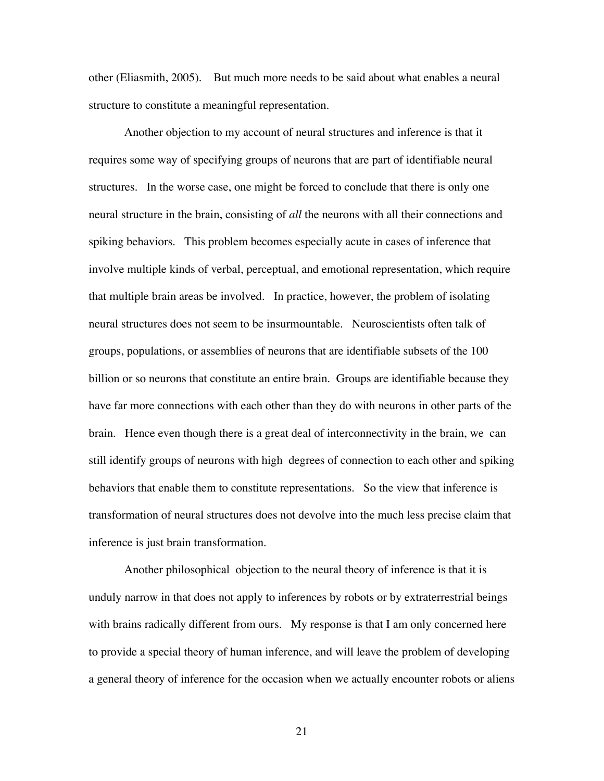other (Eliasmith, 2005). But much more needs to be said about what enables a neural structure to constitute a meaningful representation.

Another objection to my account of neural structures and inference is that it requires some way of specifying groups of neurons that are part of identifiable neural structures. In the worse case, one might be forced to conclude that there is only one neural structure in the brain, consisting of *all* the neurons with all their connections and spiking behaviors. This problem becomes especially acute in cases of inference that involve multiple kinds of verbal, perceptual, and emotional representation, which require that multiple brain areas be involved. In practice, however, the problem of isolating neural structures does not seem to be insurmountable. Neuroscientists often talk of groups, populations, or assemblies of neurons that are identifiable subsets of the 100 billion or so neurons that constitute an entire brain. Groups are identifiable because they have far more connections with each other than they do with neurons in other parts of the brain. Hence even though there is a great deal of interconnectivity in the brain, we can still identify groups of neurons with high degrees of connection to each other and spiking behaviors that enable them to constitute representations. So the view that inference is transformation of neural structures does not devolve into the much less precise claim that inference is just brain transformation.

Another philosophical objection to the neural theory of inference is that it is unduly narrow in that does not apply to inferences by robots or by extraterrestrial beings with brains radically different from ours. My response is that I am only concerned here to provide a special theory of human inference, and will leave the problem of developing a general theory of inference for the occasion when we actually encounter robots or aliens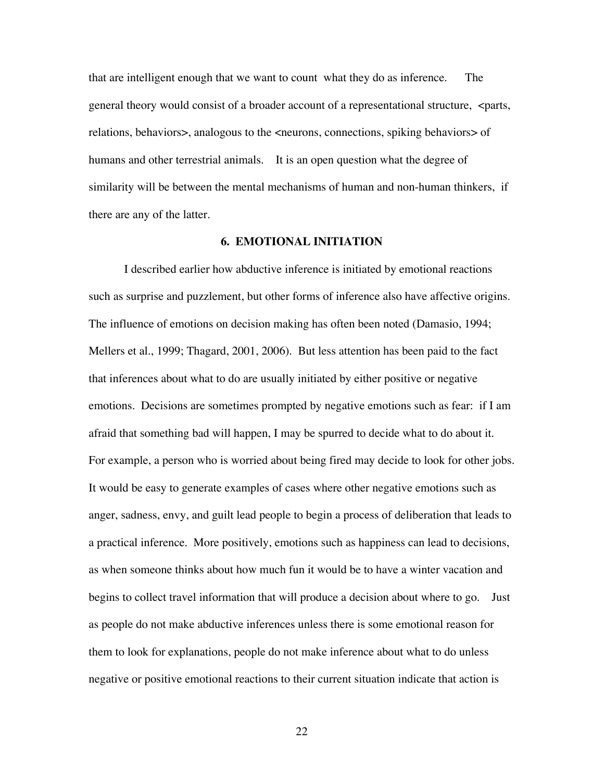that are intelligent enough that we want to count what they do as inference. The general theory would consist of a broader account of a representational structure, <parts, relations, behaviors>, analogous to the <neurons, connections, spiking behaviors> of humans and other terrestrial animals. It is an open question what the degree of similarity will be between the mental mechanisms of human and non-human thinkers, if there are any of the latter.

## **6. EMOTIONAL INITIATION**

I described earlier how abductive inference is initiated by emotional reactions such as surprise and puzzlement, but other forms of inference also have affective origins. The influence of emotions on decision making has often been noted (Damasio, 1994; Mellers et al., 1999; Thagard, 2001, 2006). But less attention has been paid to the fact that inferences about what to do are usually initiated by either positive or negative emotions. Decisions are sometimes prompted by negative emotions such as fear: if I am afraid that something bad will happen, I may be spurred to decide what to do about it. For example, a person who is worried about being fired may decide to look for other jobs. It would be easy to generate examples of cases where other negative emotions such as anger, sadness, envy, and guilt lead people to begin a process of deliberation that leads to a practical inference. More positively, emotions such as happiness can lead to decisions, as when someone thinks about how much fun it would be to have a winter vacation and begins to collect travel information that will produce a decision about where to go. Just as people do not make abductive inferences unless there is some emotional reason for them to look for explanations, people do not make inference about what to do unless negative or positive emotional reactions to their current situation indicate that action is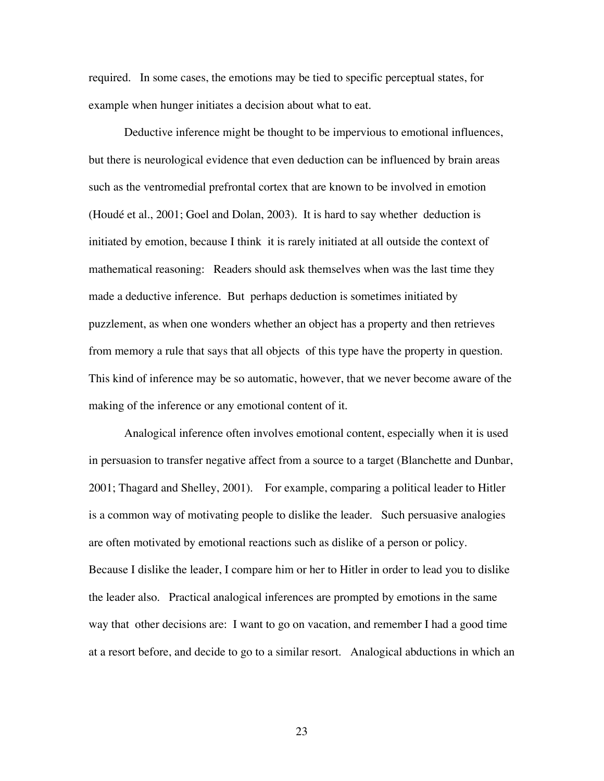required. In some cases, the emotions may be tied to specific perceptual states, for example when hunger initiates a decision about what to eat.

Deductive inference might be thought to be impervious to emotional influences, but there is neurological evidence that even deduction can be influenced by brain areas such as the ventromedial prefrontal cortex that are known to be involved in emotion (Houdé et al., 2001; Goel and Dolan, 2003). It is hard to say whether deduction is initiated by emotion, because I think it is rarely initiated at all outside the context of mathematical reasoning: Readers should ask themselves when was the last time they made a deductive inference. But perhaps deduction is sometimes initiated by puzzlement, as when one wonders whether an object has a property and then retrieves from memory a rule that says that all objects of this type have the property in question. This kind of inference may be so automatic, however, that we never become aware of the making of the inference or any emotional content of it.

Analogical inference often involves emotional content, especially when it is used in persuasion to transfer negative affect from a source to a target (Blanchette and Dunbar, 2001; Thagard and Shelley, 2001). For example, comparing a political leader to Hitler is a common way of motivating people to dislike the leader. Such persuasive analogies are often motivated by emotional reactions such as dislike of a person or policy. Because I dislike the leader, I compare him or her to Hitler in order to lead you to dislike the leader also. Practical analogical inferences are prompted by emotions in the same way that other decisions are: I want to go on vacation, and remember I had a good time at a resort before, and decide to go to a similar resort. Analogical abductions in which an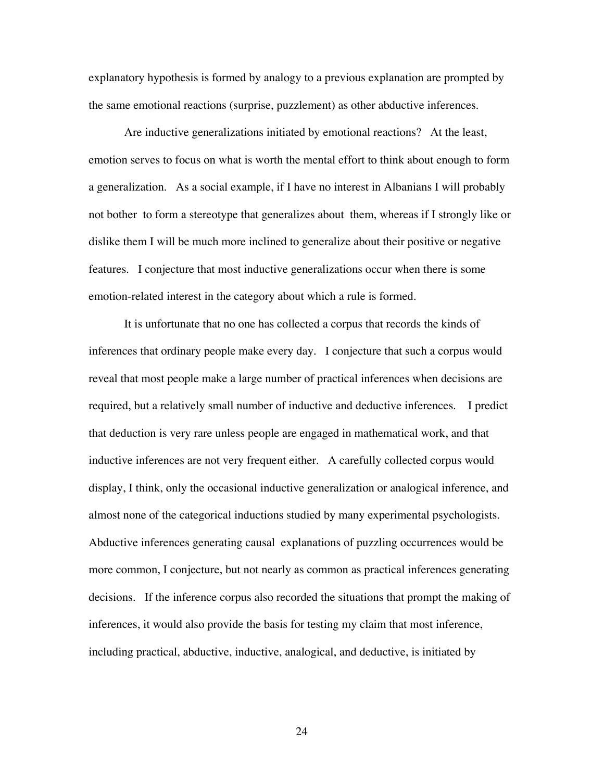explanatory hypothesis is formed by analogy to a previous explanation are prompted by the same emotional reactions (surprise, puzzlement) as other abductive inferences.

Are inductive generalizations initiated by emotional reactions? At the least, emotion serves to focus on what is worth the mental effort to think about enough to form a generalization. As a social example, if I have no interest in Albanians I will probably not bother to form a stereotype that generalizes about them, whereas if I strongly like or dislike them I will be much more inclined to generalize about their positive or negative features. I conjecture that most inductive generalizations occur when there is some emotion-related interest in the category about which a rule is formed.

It is unfortunate that no one has collected a corpus that records the kinds of inferences that ordinary people make every day. I conjecture that such a corpus would reveal that most people make a large number of practical inferences when decisions are required, but a relatively small number of inductive and deductive inferences. I predict that deduction is very rare unless people are engaged in mathematical work, and that inductive inferences are not very frequent either. A carefully collected corpus would display, I think, only the occasional inductive generalization or analogical inference, and almost none of the categorical inductions studied by many experimental psychologists. Abductive inferences generating causal explanations of puzzling occurrences would be more common, I conjecture, but not nearly as common as practical inferences generating decisions. If the inference corpus also recorded the situations that prompt the making of inferences, it would also provide the basis for testing my claim that most inference, including practical, abductive, inductive, analogical, and deductive, is initiated by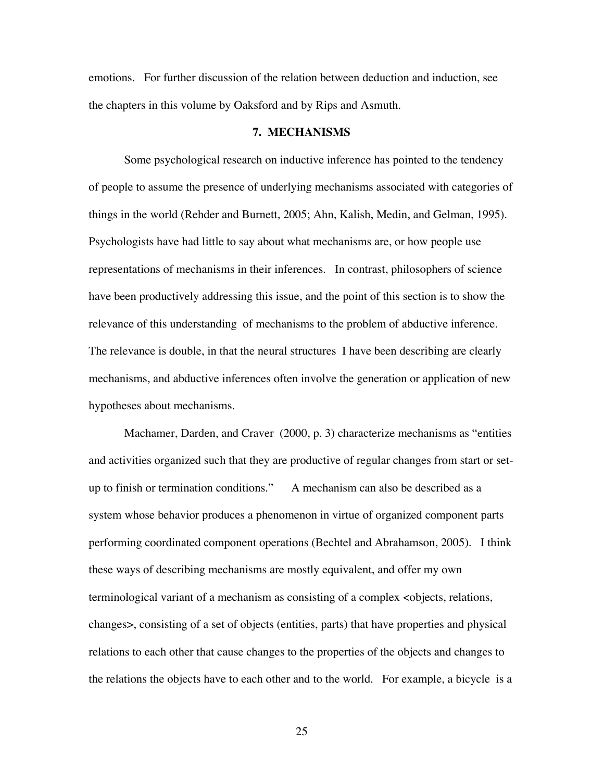emotions. For further discussion of the relation between deduction and induction, see the chapters in this volume by Oaksford and by Rips and Asmuth.

#### **7. MECHANISMS**

Some psychological research on inductive inference has pointed to the tendency of people to assume the presence of underlying mechanisms associated with categories of things in the world (Rehder and Burnett, 2005; Ahn, Kalish, Medin, and Gelman, 1995). Psychologists have had little to say about what mechanisms are, or how people use representations of mechanisms in their inferences. In contrast, philosophers of science have been productively addressing this issue, and the point of this section is to show the relevance of this understanding of mechanisms to the problem of abductive inference. The relevance is double, in that the neural structures I have been describing are clearly mechanisms, and abductive inferences often involve the generation or application of new hypotheses about mechanisms.

Machamer, Darden, and Craver (2000, p. 3) characterize mechanisms as "entities and activities organized such that they are productive of regular changes from start or setup to finish or termination conditions." A mechanism can also be described as a system whose behavior produces a phenomenon in virtue of organized component parts performing coordinated component operations (Bechtel and Abrahamson, 2005). I think these ways of describing mechanisms are mostly equivalent, and offer my own terminological variant of a mechanism as consisting of a complex <objects, relations, changes>, consisting of a set of objects (entities, parts) that have properties and physical relations to each other that cause changes to the properties of the objects and changes to the relations the objects have to each other and to the world. For example, a bicycle is a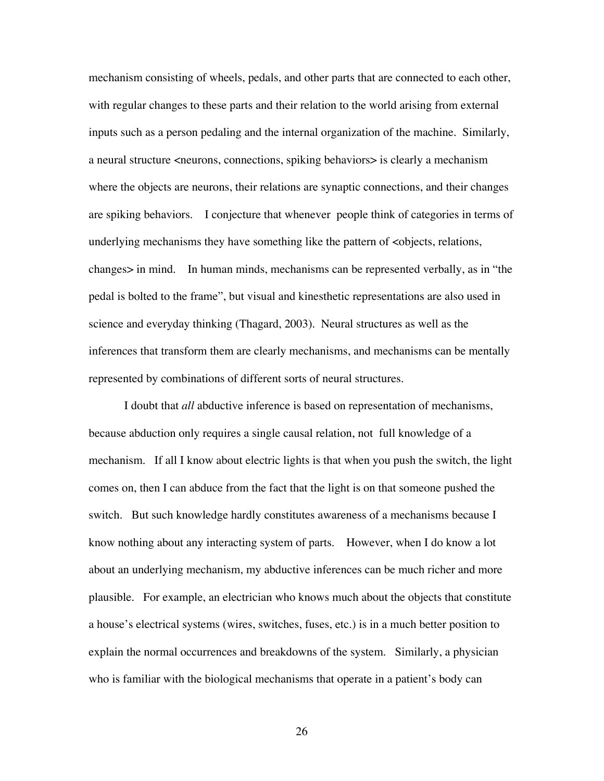mechanism consisting of wheels, pedals, and other parts that are connected to each other, with regular changes to these parts and their relation to the world arising from external inputs such as a person pedaling and the internal organization of the machine. Similarly, a neural structure <neurons, connections, spiking behaviors> is clearly a mechanism where the objects are neurons, their relations are synaptic connections, and their changes are spiking behaviors. I conjecture that whenever people think of categories in terms of underlying mechanisms they have something like the pattern of <objects, relations, changes> in mind. In human minds, mechanisms can be represented verbally, as in "the pedal is bolted to the frame", but visual and kinesthetic representations are also used in science and everyday thinking (Thagard, 2003). Neural structures as well as the inferences that transform them are clearly mechanisms, and mechanisms can be mentally represented by combinations of different sorts of neural structures.

I doubt that *all* abductive inference is based on representation of mechanisms, because abduction only requires a single causal relation, not full knowledge of a mechanism. If all I know about electric lights is that when you push the switch, the light comes on, then I can abduce from the fact that the light is on that someone pushed the switch. But such knowledge hardly constitutes awareness of a mechanisms because I know nothing about any interacting system of parts. However, when I do know a lot about an underlying mechanism, my abductive inferences can be much richer and more plausible. For example, an electrician who knows much about the objects that constitute a house's electrical systems (wires, switches, fuses, etc.) is in a much better position to explain the normal occurrences and breakdowns of the system. Similarly, a physician who is familiar with the biological mechanisms that operate in a patient's body can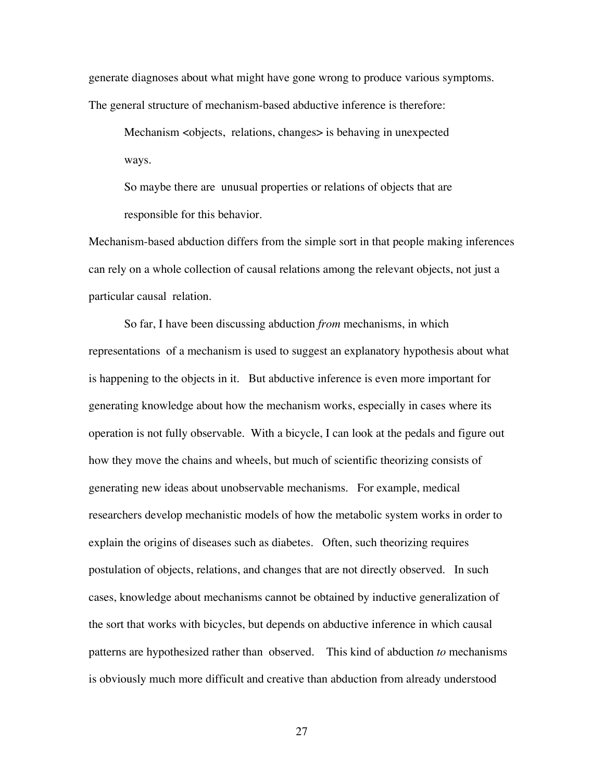generate diagnoses about what might have gone wrong to produce various symptoms. The general structure of mechanism-based abductive inference is therefore:

Mechanism <objects, relations, changes> is behaving in unexpected ways.

So maybe there are unusual properties or relations of objects that are responsible for this behavior.

Mechanism-based abduction differs from the simple sort in that people making inferences can rely on a whole collection of causal relations among the relevant objects, not just a particular causal relation.

So far, I have been discussing abduction *from* mechanisms, in which representations of a mechanism is used to suggest an explanatory hypothesis about what is happening to the objects in it. But abductive inference is even more important for generating knowledge about how the mechanism works, especially in cases where its operation is not fully observable. With a bicycle, I can look at the pedals and figure out how they move the chains and wheels, but much of scientific theorizing consists of generating new ideas about unobservable mechanisms. For example, medical researchers develop mechanistic models of how the metabolic system works in order to explain the origins of diseases such as diabetes. Often, such theorizing requires postulation of objects, relations, and changes that are not directly observed. In such cases, knowledge about mechanisms cannot be obtained by inductive generalization of the sort that works with bicycles, but depends on abductive inference in which causal patterns are hypothesized rather than observed. This kind of abduction *to* mechanisms is obviously much more difficult and creative than abduction from already understood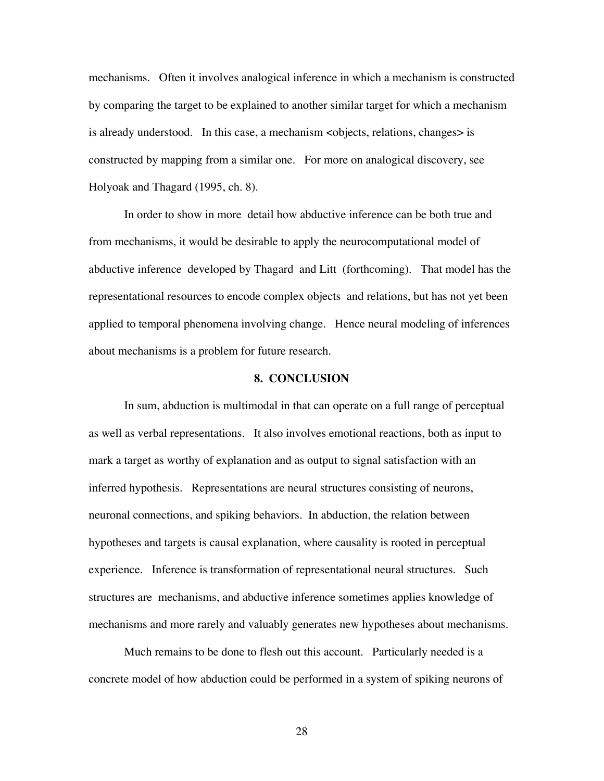mechanisms. Often it involves analogical inference in which a mechanism is constructed by comparing the target to be explained to another similar target for which a mechanism is already understood. In this case, a mechanism <objects, relations, changes> is constructed by mapping from a similar one. For more on analogical discovery, see Holyoak and Thagard (1995, ch. 8).

In order to show in more detail how abductive inference can be both true and from mechanisms, it would be desirable to apply the neurocomputational model of abductive inference developed by Thagard and Litt (forthcoming). That model has the representational resources to encode complex objects and relations, but has not yet been applied to temporal phenomena involving change. Hence neural modeling of inferences about mechanisms is a problem for future research.

## **8. CONCLUSION**

In sum, abduction is multimodal in that can operate on a full range of perceptual as well as verbal representations. It also involves emotional reactions, both as input to mark a target as worthy of explanation and as output to signal satisfaction with an inferred hypothesis. Representations are neural structures consisting of neurons, neuronal connections, and spiking behaviors. In abduction, the relation between hypotheses and targets is causal explanation, where causality is rooted in perceptual experience. Inference is transformation of representational neural structures. Such structures are mechanisms, and abductive inference sometimes applies knowledge of mechanisms and more rarely and valuably generates new hypotheses about mechanisms.

Much remains to be done to flesh out this account. Particularly needed is a concrete model of how abduction could be performed in a system of spiking neurons of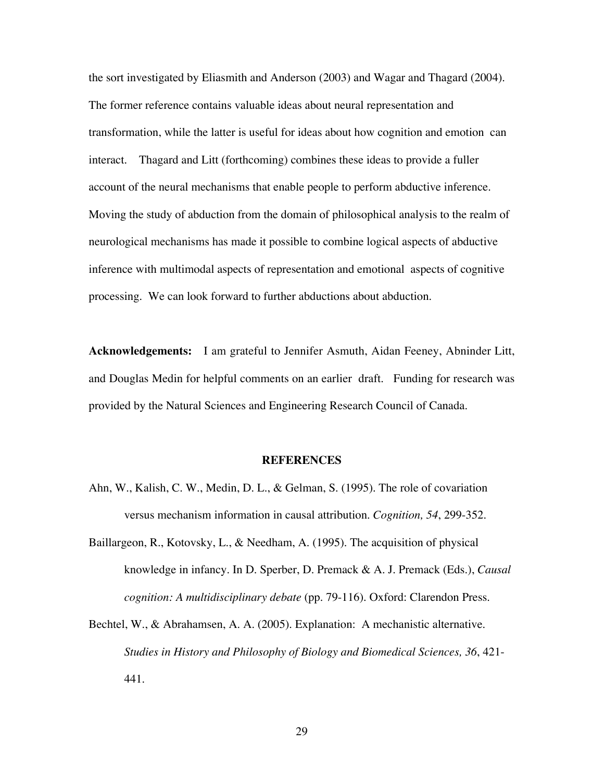the sort investigated by Eliasmith and Anderson (2003) and Wagar and Thagard (2004). The former reference contains valuable ideas about neural representation and transformation, while the latter is useful for ideas about how cognition and emotion can interact. Thagard and Litt (forthcoming) combines these ideas to provide a fuller account of the neural mechanisms that enable people to perform abductive inference. Moving the study of abduction from the domain of philosophical analysis to the realm of neurological mechanisms has made it possible to combine logical aspects of abductive inference with multimodal aspects of representation and emotional aspects of cognitive processing. We can look forward to further abductions about abduction.

**Acknowledgements:** I am grateful to Jennifer Asmuth, Aidan Feeney, Abninder Litt, and Douglas Medin for helpful comments on an earlier draft. Funding for research was provided by the Natural Sciences and Engineering Research Council of Canada.

#### **REFERENCES**

- Ahn, W., Kalish, C. W., Medin, D. L., & Gelman, S. (1995). The role of covariation versus mechanism information in causal attribution. *Cognition, 54*, 299-352.
- Baillargeon, R., Kotovsky, L., & Needham, A. (1995). The acquisition of physical knowledge in infancy. In D. Sperber, D. Premack & A. J. Premack (Eds.), *Causal cognition: A multidisciplinary debate* (pp. 79-116). Oxford: Clarendon Press.
- Bechtel, W., & Abrahamsen, A. A. (2005). Explanation: A mechanistic alternative. *Studies in History and Philosophy of Biology and Biomedical Sciences, 36*, 421- 441.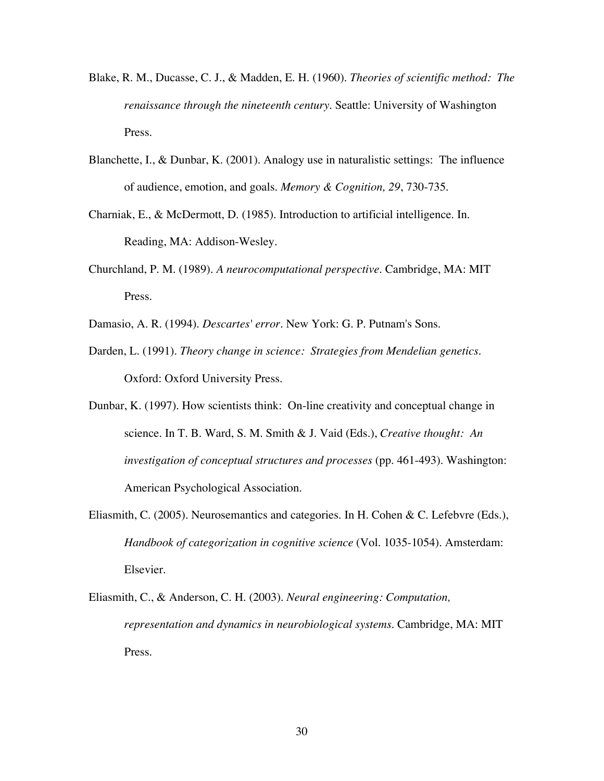- Blake, R. M., Ducasse, C. J., & Madden, E. H. (1960). *Theories of scientific method: The renaissance through the nineteenth century*. Seattle: University of Washington Press.
- Blanchette, I., & Dunbar, K. (2001). Analogy use in naturalistic settings: The influence of audience, emotion, and goals. *Memory & Cognition, 29*, 730-735.
- Charniak, E., & McDermott, D. (1985). Introduction to artificial intelligence. In. Reading, MA: Addison-Wesley.
- Churchland, P. M. (1989). *A neurocomputational perspective*. Cambridge, MA: MIT Press.
- Damasio, A. R. (1994). *Descartes' error*. New York: G. P. Putnam's Sons.
- Darden, L. (1991). *Theory change in science: Strategies from Mendelian genetics*. Oxford: Oxford University Press.
- Dunbar, K. (1997). How scientists think: On-line creativity and conceptual change in science. In T. B. Ward, S. M. Smith & J. Vaid (Eds.), *Creative thought: An investigation of conceptual structures and processes* (pp. 461-493). Washington: American Psychological Association.
- Eliasmith, C. (2005). Neurosemantics and categories. In H. Cohen & C. Lefebvre (Eds.), *Handbook of categorization in cognitive science* (Vol. 1035-1054). Amsterdam: Elsevier.
- Eliasmith, C., & Anderson, C. H. (2003). *Neural engineering: Computation, representation and dynamics in neurobiological systems*. Cambridge, MA: MIT Press.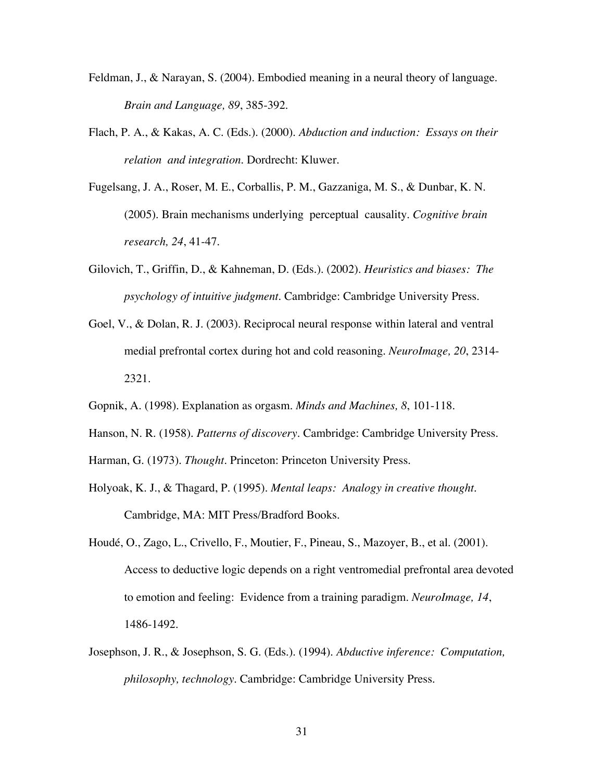- Feldman, J., & Narayan, S. (2004). Embodied meaning in a neural theory of language. *Brain and Language, 89*, 385-392.
- Flach, P. A., & Kakas, A. C. (Eds.). (2000). *Abduction and induction: Essays on their relation and integration*. Dordrecht: Kluwer.
- Fugelsang, J. A., Roser, M. E., Corballis, P. M., Gazzaniga, M. S., & Dunbar, K. N. (2005). Brain mechanisms underlying perceptual causality. *Cognitive brain research, 24*, 41-47.
- Gilovich, T., Griffin, D., & Kahneman, D. (Eds.). (2002). *Heuristics and biases: The psychology of intuitive judgment*. Cambridge: Cambridge University Press.
- Goel, V., & Dolan, R. J. (2003). Reciprocal neural response within lateral and ventral medial prefrontal cortex during hot and cold reasoning. *NeuroImage, 20*, 2314- 2321.
- Gopnik, A. (1998). Explanation as orgasm. *Minds and Machines, 8*, 101-118.
- Hanson, N. R. (1958). *Patterns of discovery*. Cambridge: Cambridge University Press.
- Harman, G. (1973). *Thought*. Princeton: Princeton University Press.
- Holyoak, K. J., & Thagard, P. (1995). *Mental leaps: Analogy in creative thought*. Cambridge, MA: MIT Press/Bradford Books.
- Houdé, O., Zago, L., Crivello, F., Moutier, F., Pineau, S., Mazoyer, B., et al. (2001). Access to deductive logic depends on a right ventromedial prefrontal area devoted to emotion and feeling: Evidence from a training paradigm. *NeuroImage, 14*, 1486-1492.
- Josephson, J. R., & Josephson, S. G. (Eds.). (1994). *Abductive inference: Computation, philosophy, technology*. Cambridge: Cambridge University Press.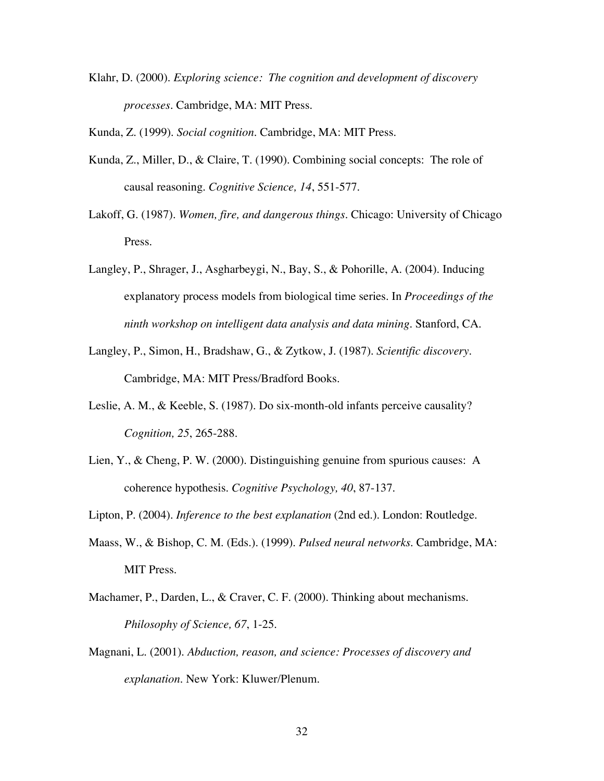Klahr, D. (2000). *Exploring science: The cognition and development of discovery processes*. Cambridge, MA: MIT Press.

Kunda, Z. (1999). *Social cognition*. Cambridge, MA: MIT Press.

- Kunda, Z., Miller, D., & Claire, T. (1990). Combining social concepts: The role of causal reasoning. *Cognitive Science, 14*, 551-577.
- Lakoff, G. (1987). *Women, fire, and dangerous things*. Chicago: University of Chicago Press.
- Langley, P., Shrager, J., Asgharbeygi, N., Bay, S., & Pohorille, A. (2004). Inducing explanatory process models from biological time series. In *Proceedings of the ninth workshop on intelligent data analysis and data mining*. Stanford, CA.
- Langley, P., Simon, H., Bradshaw, G., & Zytkow, J. (1987). *Scientific discovery*. Cambridge, MA: MIT Press/Bradford Books.
- Leslie, A. M., & Keeble, S. (1987). Do six-month-old infants perceive causality? *Cognition, 25*, 265-288.
- Lien, Y., & Cheng, P. W. (2000). Distinguishing genuine from spurious causes: A coherence hypothesis. *Cognitive Psychology, 40*, 87-137.
- Lipton, P. (2004). *Inference to the best explanation* (2nd ed.). London: Routledge.
- Maass, W., & Bishop, C. M. (Eds.). (1999). *Pulsed neural networks*. Cambridge, MA: MIT Press.
- Machamer, P., Darden, L., & Craver, C. F. (2000). Thinking about mechanisms. *Philosophy of Science, 67*, 1-25.
- Magnani, L. (2001). *Abduction, reason, and science: Processes of discovery and explanation*. New York: Kluwer/Plenum.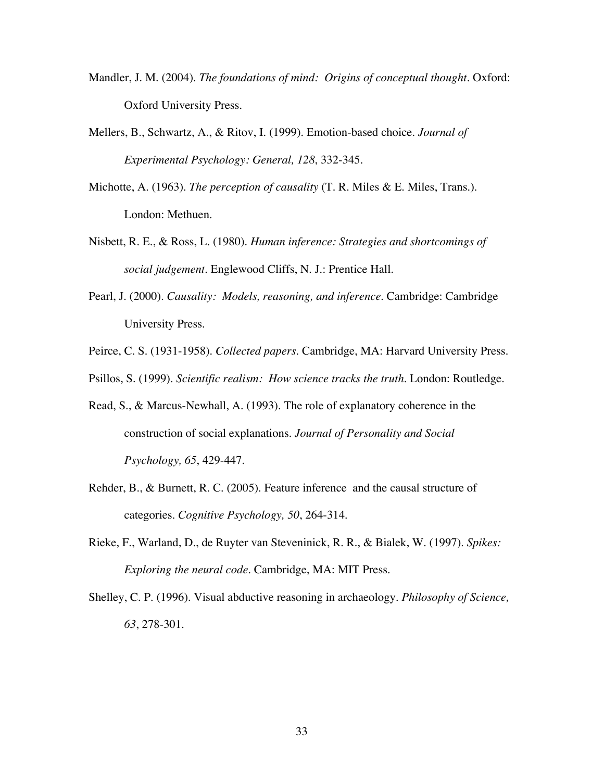- Mandler, J. M. (2004). *The foundations of mind: Origins of conceptual thought*. Oxford: Oxford University Press.
- Mellers, B., Schwartz, A., & Ritov, I. (1999). Emotion-based choice. *Journal of Experimental Psychology: General, 128*, 332-345.
- Michotte, A. (1963). *The perception of causality* (T. R. Miles & E. Miles, Trans.). London: Methuen.
- Nisbett, R. E., & Ross, L. (1980). *Human inference: Strategies and shortcomings of social judgement*. Englewood Cliffs, N. J.: Prentice Hall.
- Pearl, J. (2000). *Causality: Models, reasoning, and inference*. Cambridge: Cambridge University Press.
- Peirce, C. S. (1931-1958). *Collected papers*. Cambridge, MA: Harvard University Press.
- Psillos, S. (1999). *Scientific realism: How science tracks the truth*. London: Routledge.
- Read, S., & Marcus-Newhall, A. (1993). The role of explanatory coherence in the construction of social explanations. *Journal of Personality and Social Psychology, 65*, 429-447.
- Rehder, B., & Burnett, R. C. (2005). Feature inference and the causal structure of categories. *Cognitive Psychology, 50*, 264-314.
- Rieke, F., Warland, D., de Ruyter van Steveninick, R. R., & Bialek, W. (1997). *Spikes: Exploring the neural code*. Cambridge, MA: MIT Press.
- Shelley, C. P. (1996). Visual abductive reasoning in archaeology. *Philosophy of Science, 63*, 278-301.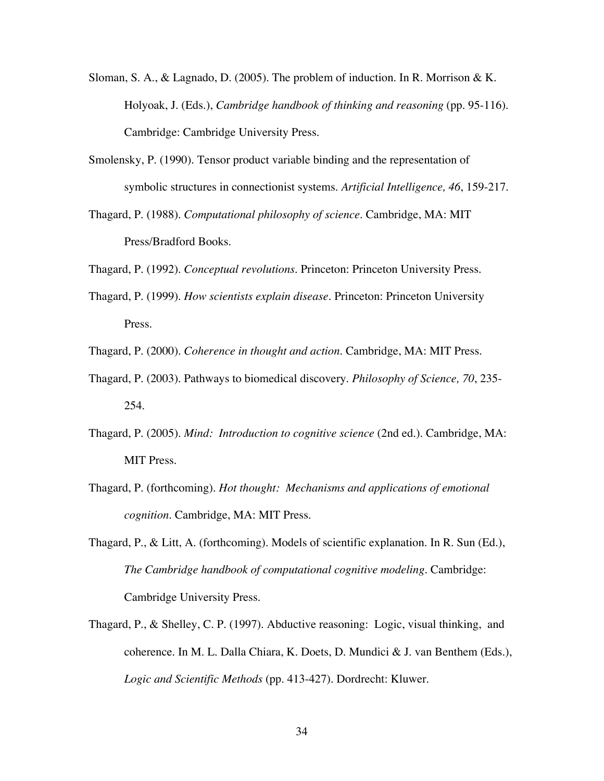- Sloman, S. A., & Lagnado, D. (2005). The problem of induction. In R. Morrison & K. Holyoak, J. (Eds.), *Cambridge handbook of thinking and reasoning* (pp. 95-116). Cambridge: Cambridge University Press.
- Smolensky, P. (1990). Tensor product variable binding and the representation of symbolic structures in connectionist systems. *Artificial Intelligence, 46*, 159-217.
- Thagard, P. (1988). *Computational philosophy of science*. Cambridge, MA: MIT Press/Bradford Books.

Thagard, P. (1992). *Conceptual revolutions*. Princeton: Princeton University Press.

- Thagard, P. (1999). *How scientists explain disease*. Princeton: Princeton University Press.
- Thagard, P. (2000). *Coherence in thought and action*. Cambridge, MA: MIT Press.
- Thagard, P. (2003). Pathways to biomedical discovery. *Philosophy of Science, 70*, 235- 254.
- Thagard, P. (2005). *Mind: Introduction to cognitive science* (2nd ed.). Cambridge, MA: MIT Press.
- Thagard, P. (forthcoming). *Hot thought: Mechanisms and applications of emotional cognition*. Cambridge, MA: MIT Press.
- Thagard, P., & Litt, A. (forthcoming). Models of scientific explanation. In R. Sun (Ed.), *The Cambridge handbook of computational cognitive modeling*. Cambridge: Cambridge University Press.
- Thagard, P., & Shelley, C. P. (1997). Abductive reasoning: Logic, visual thinking, and coherence. In M. L. Dalla Chiara, K. Doets, D. Mundici & J. van Benthem (Eds.), *Logic and Scientific Methods* (pp. 413-427). Dordrecht: Kluwer.